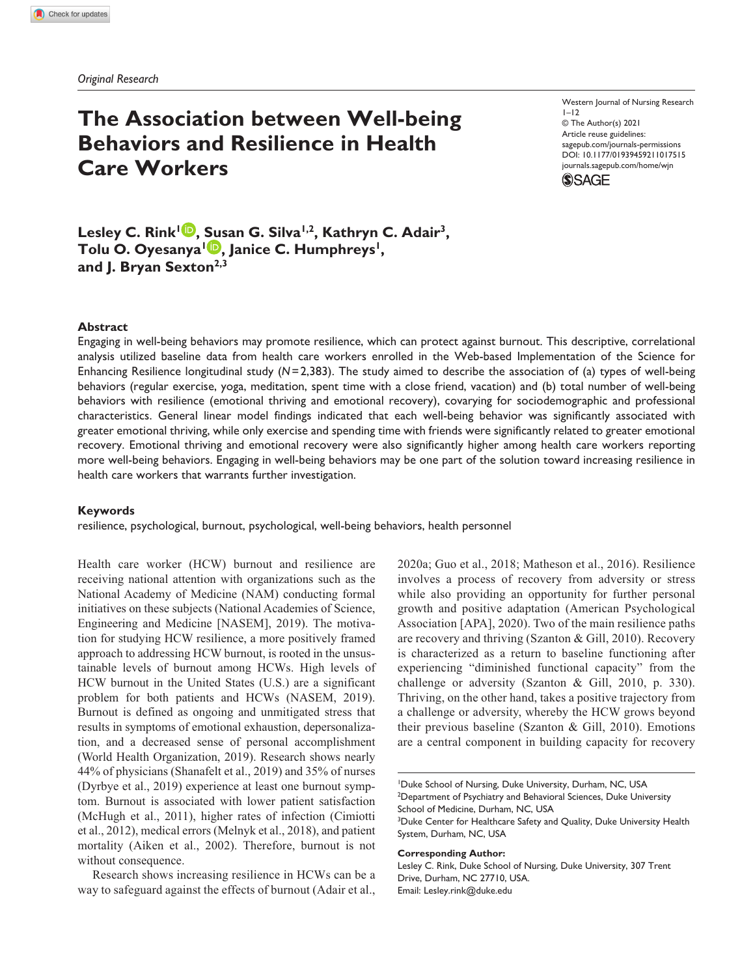*Original Research*

# **The Association between Well-being Behaviors and Resilience in Health Care Workers**

Western Journal of Nursing Research  $1 - 12$ © The Author(s) 2021 Article reuse guidelines: [sagepub.com/journals-permissions](https://us.sagepub.com/en-us/journals-permissions)  https://doi.org/10.1177/01939459211017515 DOI: 10.1177/01939459211017515 [journals.sagepub.com/home/wjn](https://journals.sagepub.com/home/wjn) **SSAGE** 



### **Abstract**

Engaging in well-being behaviors may promote resilience, which can protect against burnout. This descriptive, correlational analysis utilized baseline data from health care workers enrolled in the Web-based Implementation of the Science for Enhancing Resilience longitudinal study (*N*=2,383). The study aimed to describe the association of (a) types of well-being behaviors (regular exercise, yoga, meditation, spent time with a close friend, vacation) and (b) total number of well-being behaviors with resilience (emotional thriving and emotional recovery), covarying for sociodemographic and professional characteristics. General linear model findings indicated that each well-being behavior was significantly associated with greater emotional thriving, while only exercise and spending time with friends were significantly related to greater emotional recovery. Emotional thriving and emotional recovery were also significantly higher among health care workers reporting more well-being behaviors. Engaging in well-being behaviors may be one part of the solution toward increasing resilience in health care workers that warrants further investigation.

#### **Keywords**

resilience, psychological, burnout, psychological, well-being behaviors, health personnel

Health care worker (HCW) burnout and resilience are receiving national attention with organizations such as the National Academy of Medicine (NAM) conducting formal initiatives on these subjects (National Academies of Science, Engineering and Medicine [NASEM], 2019). The motivation for studying HCW resilience, a more positively framed approach to addressing HCW burnout, is rooted in the unsustainable levels of burnout among HCWs. High levels of HCW burnout in the United States (U.S.) are a significant problem for both patients and HCWs (NASEM, 2019). Burnout is defined as ongoing and unmitigated stress that results in symptoms of emotional exhaustion, depersonalization, and a decreased sense of personal accomplishment (World Health Organization, 2019). Research shows nearly 44% of physicians (Shanafelt et al., 2019) and 35% of nurses (Dyrbye et al., 2019) experience at least one burnout symptom. Burnout is associated with lower patient satisfaction (McHugh et al., 2011), higher rates of infection (Cimiotti et al., 2012), medical errors (Melnyk et al., 2018), and patient mortality (Aiken et al., 2002). Therefore, burnout is not without consequence.

Research shows increasing resilience in HCWs can be a way to safeguard against the effects of burnout (Adair et al., 2020a; Guo et al., 2018; Matheson et al., 2016). Resilience involves a process of recovery from adversity or stress while also providing an opportunity for further personal growth and positive adaptation (American Psychological Association [APA], 2020). Two of the main resilience paths are recovery and thriving (Szanton & Gill, 2010). Recovery is characterized as a return to baseline functioning after experiencing "diminished functional capacity" from the challenge or adversity (Szanton & Gill, 2010, p. 330). Thriving, on the other hand, takes a positive trajectory from a challenge or adversity, whereby the HCW grows beyond their previous baseline (Szanton & Gill, 2010). Emotions are a central component in building capacity for recovery

**Corresponding Author:**

<sup>1</sup> Duke School of Nursing, Duke University, Durham, NC, USA <sup>2</sup>Department of Psychiatry and Behavioral Sciences, Duke University School of Medicine, Durham, NC, USA

<sup>&</sup>lt;sup>3</sup>Duke Center for Healthcare Safety and Quality, Duke University Health System, Durham, NC, USA

Lesley C. Rink, Duke School of Nursing, Duke University, 307 Trent Drive, Durham, NC 27710, USA. Email: [Lesley.rink@duke.edu](mailto:Lesley.rink@duke.edu)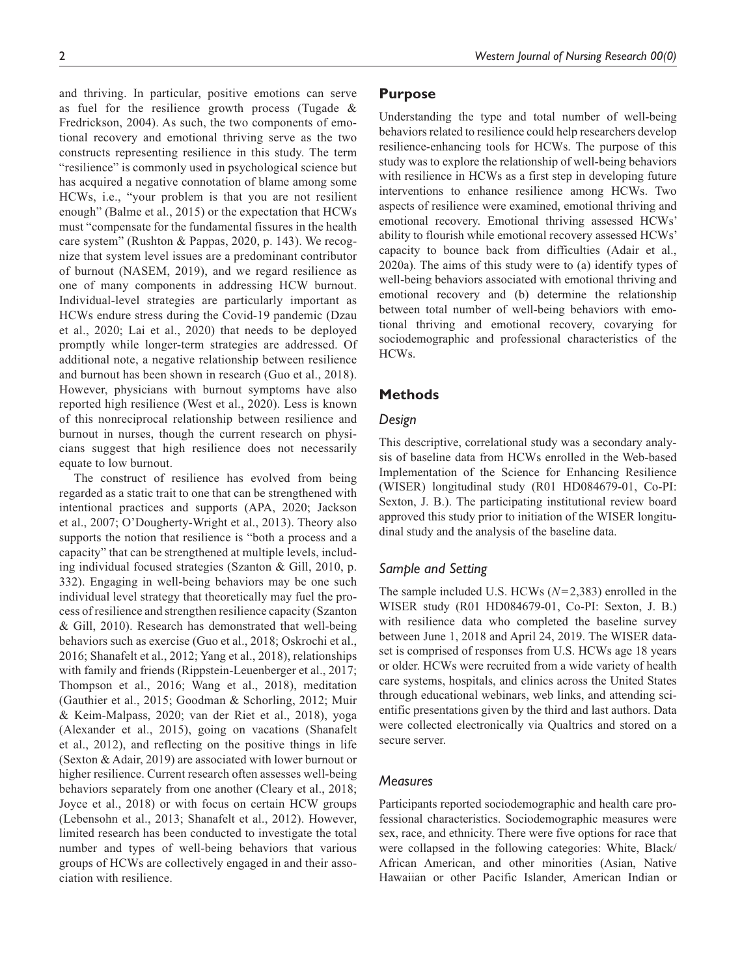and thriving. In particular, positive emotions can serve as fuel for the resilience growth process (Tugade & Fredrickson, 2004). As such, the two components of emotional recovery and emotional thriving serve as the two constructs representing resilience in this study. The term "resilience" is commonly used in psychological science but has acquired a negative connotation of blame among some HCWs, i.e., "your problem is that you are not resilient enough" (Balme et al., 2015) or the expectation that HCWs must "compensate for the fundamental fissures in the health care system" (Rushton & Pappas, 2020, p. 143). We recognize that system level issues are a predominant contributor of burnout (NASEM, 2019), and we regard resilience as one of many components in addressing HCW burnout. Individual-level strategies are particularly important as HCWs endure stress during the Covid-19 pandemic (Dzau et al., 2020; Lai et al., 2020) that needs to be deployed promptly while longer-term strategies are addressed. Of additional note, a negative relationship between resilience and burnout has been shown in research (Guo et al., 2018). However, physicians with burnout symptoms have also reported high resilience (West et al., 2020). Less is known of this nonreciprocal relationship between resilience and burnout in nurses, though the current research on physicians suggest that high resilience does not necessarily equate to low burnout.

The construct of resilience has evolved from being regarded as a static trait to one that can be strengthened with intentional practices and supports (APA, 2020; Jackson et al., 2007; O'Dougherty-Wright et al., 2013). Theory also supports the notion that resilience is "both a process and a capacity" that can be strengthened at multiple levels, including individual focused strategies (Szanton & Gill, 2010, p. 332). Engaging in well-being behaviors may be one such individual level strategy that theoretically may fuel the process of resilience and strengthen resilience capacity (Szanton & Gill, 2010). Research has demonstrated that well-being behaviors such as exercise (Guo et al., 2018; Oskrochi et al., 2016; Shanafelt et al., 2012; Yang et al., 2018), relationships with family and friends (Rippstein-Leuenberger et al., 2017; Thompson et al., 2016; Wang et al., 2018), meditation (Gauthier et al., 2015; Goodman & Schorling, 2012; Muir & Keim-Malpass, 2020; van der Riet et al., 2018), yoga (Alexander et al., 2015), going on vacations (Shanafelt et al., 2012), and reflecting on the positive things in life (Sexton & Adair, 2019) are associated with lower burnout or higher resilience. Current research often assesses well-being behaviors separately from one another (Cleary et al., 2018; Joyce et al., 2018) or with focus on certain HCW groups (Lebensohn et al., 2013; Shanafelt et al., 2012). However, limited research has been conducted to investigate the total number and types of well-being behaviors that various groups of HCWs are collectively engaged in and their association with resilience.

# **Purpose**

Understanding the type and total number of well-being behaviors related to resilience could help researchers develop resilience-enhancing tools for HCWs. The purpose of this study was to explore the relationship of well-being behaviors with resilience in HCWs as a first step in developing future interventions to enhance resilience among HCWs. Two aspects of resilience were examined, emotional thriving and emotional recovery. Emotional thriving assessed HCWs' ability to flourish while emotional recovery assessed HCWs' capacity to bounce back from difficulties (Adair et al., 2020a). The aims of this study were to (a) identify types of well-being behaviors associated with emotional thriving and emotional recovery and (b) determine the relationship between total number of well-being behaviors with emotional thriving and emotional recovery, covarying for sociodemographic and professional characteristics of the HCWs.

# **Methods**

# *Design*

This descriptive, correlational study was a secondary analysis of baseline data from HCWs enrolled in the Web-based Implementation of the Science for Enhancing Resilience (WISER) longitudinal study (R01 HD084679-01, Co-PI: Sexton, J. B.). The participating institutional review board approved this study prior to initiation of the WISER longitudinal study and the analysis of the baseline data.

# *Sample and Setting*

The sample included U.S. HCWs (*N*=2,383) enrolled in the WISER study (R01 HD084679-01, Co-PI: Sexton, J. B.) with resilience data who completed the baseline survey between June 1, 2018 and April 24, 2019. The WISER dataset is comprised of responses from U.S. HCWs age 18 years or older. HCWs were recruited from a wide variety of health care systems, hospitals, and clinics across the United States through educational webinars, web links, and attending scientific presentations given by the third and last authors. Data were collected electronically via Qualtrics and stored on a secure server.

# *Measures*

Participants reported sociodemographic and health care professional characteristics. Sociodemographic measures were sex, race, and ethnicity. There were five options for race that were collapsed in the following categories: White, Black/ African American, and other minorities (Asian, Native Hawaiian or other Pacific Islander, American Indian or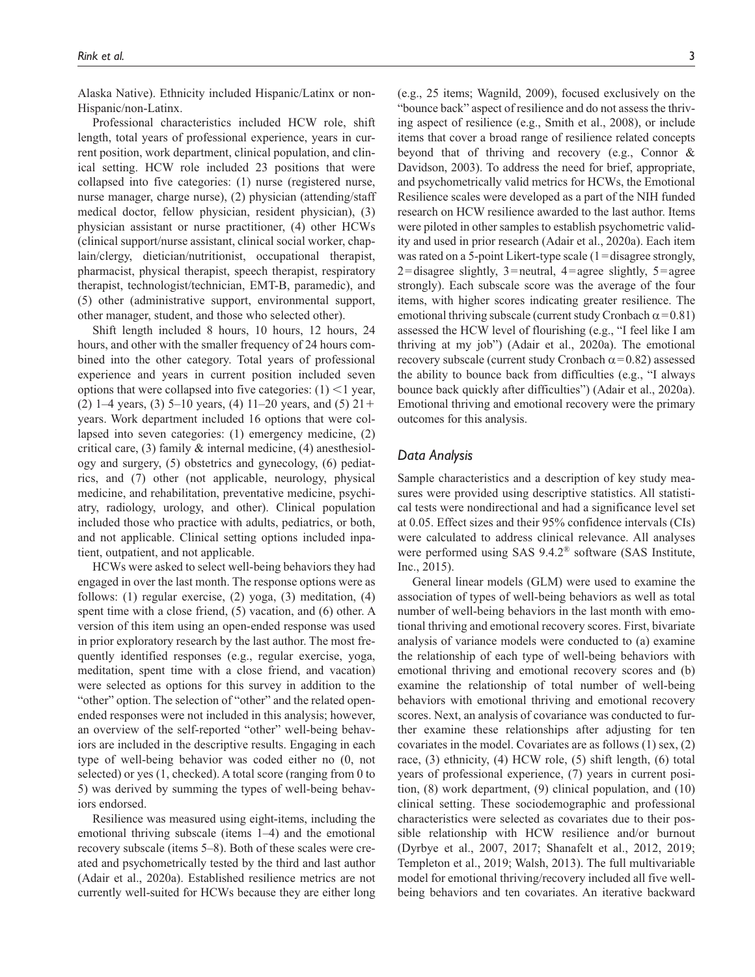Alaska Native). Ethnicity included Hispanic/Latinx or non-Hispanic/non-Latinx.

Professional characteristics included HCW role, shift length, total years of professional experience, years in current position, work department, clinical population, and clinical setting. HCW role included 23 positions that were collapsed into five categories: (1) nurse (registered nurse, nurse manager, charge nurse), (2) physician (attending/staff medical doctor, fellow physician, resident physician), (3) physician assistant or nurse practitioner, (4) other HCWs (clinical support/nurse assistant, clinical social worker, chaplain/clergy, dietician/nutritionist, occupational therapist, pharmacist, physical therapist, speech therapist, respiratory therapist, technologist/technician, EMT-B, paramedic), and (5) other (administrative support, environmental support, other manager, student, and those who selected other).

Shift length included 8 hours, 10 hours, 12 hours, 24 hours, and other with the smaller frequency of 24 hours combined into the other category. Total years of professional experience and years in current position included seven options that were collapsed into five categories:  $(1)$  < 1 year, (2) 1–4 years, (3) 5–10 years, (4) 11–20 years, and (5)  $21+$ years. Work department included 16 options that were collapsed into seven categories: (1) emergency medicine, (2) critical care, (3) family & internal medicine, (4) anesthesiology and surgery, (5) obstetrics and gynecology, (6) pediatrics, and (7) other (not applicable, neurology, physical medicine, and rehabilitation, preventative medicine, psychiatry, radiology, urology, and other). Clinical population included those who practice with adults, pediatrics, or both, and not applicable. Clinical setting options included inpatient, outpatient, and not applicable.

HCWs were asked to select well-being behaviors they had engaged in over the last month. The response options were as follows: (1) regular exercise, (2) yoga, (3) meditation, (4) spent time with a close friend, (5) vacation, and (6) other. A version of this item using an open-ended response was used in prior exploratory research by the last author. The most frequently identified responses (e.g., regular exercise, yoga, meditation, spent time with a close friend, and vacation) were selected as options for this survey in addition to the "other" option. The selection of "other" and the related openended responses were not included in this analysis; however, an overview of the self-reported "other" well-being behaviors are included in the descriptive results. Engaging in each type of well-being behavior was coded either no (0, not selected) or yes (1, checked). A total score (ranging from 0 to 5) was derived by summing the types of well-being behaviors endorsed.

Resilience was measured using eight-items, including the emotional thriving subscale (items 1–4) and the emotional recovery subscale (items 5–8). Both of these scales were created and psychometrically tested by the third and last author (Adair et al., 2020a). Established resilience metrics are not currently well-suited for HCWs because they are either long (e.g., 25 items; Wagnild, 2009), focused exclusively on the "bounce back" aspect of resilience and do not assess the thriving aspect of resilience (e.g., Smith et al., 2008), or include items that cover a broad range of resilience related concepts beyond that of thriving and recovery (e.g., Connor & Davidson, 2003). To address the need for brief, appropriate, and psychometrically valid metrics for HCWs, the Emotional Resilience scales were developed as a part of the NIH funded research on HCW resilience awarded to the last author. Items were piloted in other samples to establish psychometric validity and used in prior research (Adair et al., 2020a). Each item was rated on a 5-point Likert-type scale (1=disagree strongly, 2=disagree slightly, 3=neutral, 4=agree slightly,  $5 =$ agree strongly). Each subscale score was the average of the four items, with higher scores indicating greater resilience. The emotional thriving subscale (current study Cronbach  $\alpha$ =0.81) assessed the HCW level of flourishing (e.g., "I feel like I am thriving at my job") (Adair et al., 2020a). The emotional recovery subscale (current study Cronbach  $\alpha$ =0.82) assessed the ability to bounce back from difficulties (e.g., "I always bounce back quickly after difficulties") (Adair et al., 2020a). Emotional thriving and emotional recovery were the primary outcomes for this analysis.

## *Data Analysis*

Sample characteristics and a description of key study measures were provided using descriptive statistics. All statistical tests were nondirectional and had a significance level set at 0.05. Effect sizes and their 95% confidence intervals (CIs) were calculated to address clinical relevance. All analyses were performed using SAS 9.4.2® software (SAS Institute, Inc., 2015).

General linear models (GLM) were used to examine the association of types of well-being behaviors as well as total number of well-being behaviors in the last month with emotional thriving and emotional recovery scores. First, bivariate analysis of variance models were conducted to (a) examine the relationship of each type of well-being behaviors with emotional thriving and emotional recovery scores and (b) examine the relationship of total number of well-being behaviors with emotional thriving and emotional recovery scores. Next, an analysis of covariance was conducted to further examine these relationships after adjusting for ten covariates in the model. Covariates are as follows (1) sex, (2) race, (3) ethnicity, (4) HCW role, (5) shift length, (6) total years of professional experience, (7) years in current position, (8) work department, (9) clinical population, and (10) clinical setting. These sociodemographic and professional characteristics were selected as covariates due to their possible relationship with HCW resilience and/or burnout (Dyrbye et al., 2007, 2017; Shanafelt et al., 2012, 2019; Templeton et al., 2019; Walsh, 2013). The full multivariable model for emotional thriving/recovery included all five wellbeing behaviors and ten covariates. An iterative backward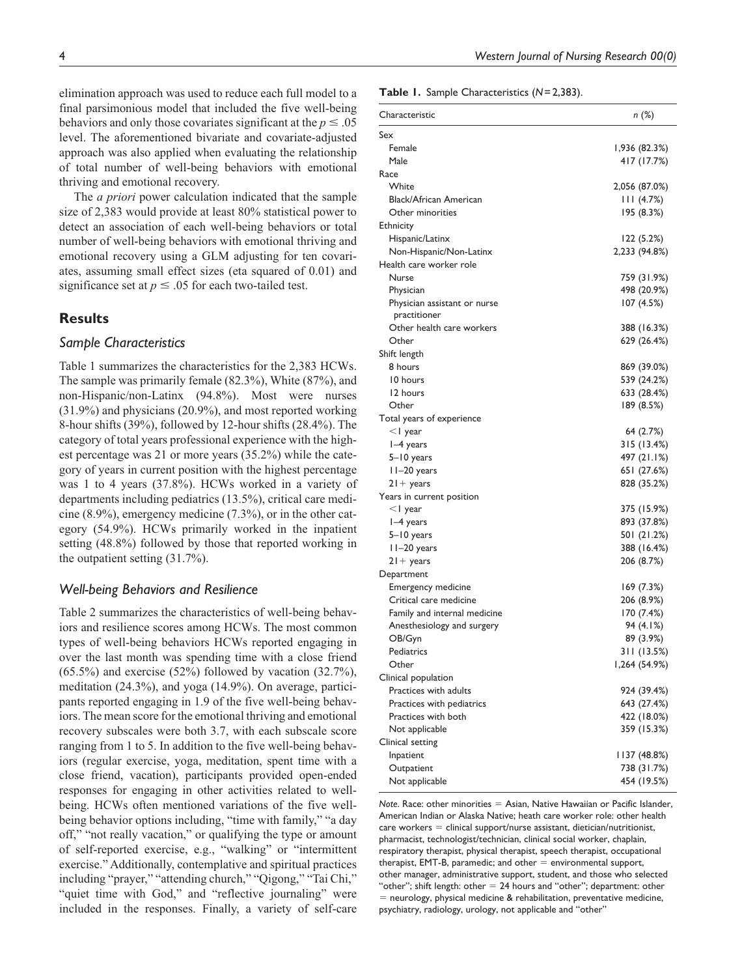elimination approach was used to reduce each full model to a final parsimonious model that included the five well-being behaviors and only those covariates significant at the  $p \leq 0.05$ level. The aforementioned bivariate and covariate-adjusted approach was also applied when evaluating the relationship of total number of well-being behaviors with emotional thriving and emotional recovery.

The *a priori* power calculation indicated that the sample size of 2,383 would provide at least 80% statistical power to detect an association of each well-being behaviors or total number of well-being behaviors with emotional thriving and emotional recovery using a GLM adjusting for ten covariates, assuming small effect sizes (eta squared of 0.01) and significance set at  $p \leq 0.05$  for each two-tailed test.

## **Results**

### *Sample Characteristics*

Table 1 summarizes the characteristics for the 2,383 HCWs. The sample was primarily female (82.3%), White (87%), and non-Hispanic/non-Latinx (94.8%). Most were nurses (31.9%) and physicians (20.9%), and most reported working 8-hour shifts (39%), followed by 12-hour shifts (28.4%). The category of total years professional experience with the highest percentage was 21 or more years (35.2%) while the category of years in current position with the highest percentage was 1 to 4 years (37.8%). HCWs worked in a variety of departments including pediatrics (13.5%), critical care medicine (8.9%), emergency medicine (7.3%), or in the other category (54.9%). HCWs primarily worked in the inpatient setting (48.8%) followed by those that reported working in the outpatient setting (31.7%).

#### *Well-being Behaviors and Resilience*

Table 2 summarizes the characteristics of well-being behaviors and resilience scores among HCWs. The most common types of well-being behaviors HCWs reported engaging in over the last month was spending time with a close friend  $(65.5\%)$  and exercise  $(52\%)$  followed by vacation  $(32.7\%)$ , meditation (24.3%), and yoga (14.9%). On average, participants reported engaging in 1.9 of the five well-being behaviors. The mean score for the emotional thriving and emotional recovery subscales were both 3.7, with each subscale score ranging from 1 to 5. In addition to the five well-being behaviors (regular exercise, yoga, meditation, spent time with a close friend, vacation), participants provided open-ended responses for engaging in other activities related to wellbeing. HCWs often mentioned variations of the five wellbeing behavior options including, "time with family," "a day off," "not really vacation," or qualifying the type or amount of self-reported exercise, e.g., "walking" or "intermittent exercise." Additionally, contemplative and spiritual practices including "prayer," "attending church," "Qigong," "Tai Chi," "quiet time with God," and "reflective journaling" were included in the responses. Finally, a variety of self-care

4 *Western Journal of Nursing Research 00(0)*

**Table 1.** Sample Characteristics (*N*=2,383).

| Characteristic               | n (%)         |
|------------------------------|---------------|
| Sex                          |               |
| Female                       | I,936 (82.3%) |
| Male                         | 417 (17.7%)   |
| Race                         |               |
| White                        | 2,056 (87.0%) |
| Black/African American       | 111 (4.7%)    |
| Other minorities             | 195 (8.3%)    |
| <b>Ethnicity</b>             |               |
| Hispanic/Latinx              | 122 (5.2%)    |
| Non-Hispanic/Non-Latinx      | 2,233 (94.8%) |
| Health care worker role      |               |
| Nurse                        | 759 (31.9%)   |
| Physician                    | 498 (20.9%)   |
| Physician assistant or nurse | 107(4.5%)     |
| practitioner                 |               |
| Other health care workers    | 388 (16.3%)   |
| Other                        | 629 (26.4%)   |
| Shift length                 |               |
| 8 hours                      | 869 (39.0%)   |
| 10 hours                     | 539 (24.2%)   |
| 12 hours                     | 633 (28.4%)   |
| Other                        | 189 (8.5%)    |
| Total years of experience    |               |
| $<$ l year                   | 64 (2.7%)     |
| $I-4$ years                  | 315 (13.4%)   |
| 5-10 years                   | 497 (21.1%)   |
| II-20 years                  | 651 (27.6%)   |
| $21 + \gamma$ ears           | 828 (35.2%)   |
| Years in current position    |               |
| $<$ l year                   | 375 (15.9%)   |
| $I-4$ years                  | 893 (37.8%)   |
| 5–10 years                   | 501 (21.2%)   |
| II-20 years                  | 388 (16.4%)   |
| $21 + \gamma$ ears           | 206 (8.7%)    |
| Department                   |               |
| Emergency medicine           | 169(7.3%)     |
| Critical care medicine       | 206 (8.9%)    |
| Family and internal medicine | 170 (7.4%)    |
| Anesthesiology and surgery   | 94 (4.1%)     |
| OB/Gyn                       | 89 (3.9%)     |
| Pediatrics                   | 311 (13.5%)   |
| Other                        | 1,264 (54.9%) |
| Clinical population          |               |
| Practices with adults        | 924 (39.4%)   |
| Practices with pediatrics    | 643 (27.4%)   |
| Practices with both          | 422 (18.0%)   |
| Not applicable               | 359 (15.3%)   |
| Clinical setting             |               |
| Inpatient                    | 1137 (48.8%)  |
| Outpatient                   | 738 (31.7%)   |
| Not applicable               | 454 (19.5%)   |

*Note*. Race: other minorities = Asian, Native Hawaiian or Pacific Islander, American Indian or Alaska Native; heath care worker role: other health  $care$  workers = clinical support/nurse assistant, dietician/nutritionist, pharmacist, technologist/technician, clinical social worker, chaplain, respiratory therapist, physical therapist, speech therapist, occupational therapist, EMT-B, paramedic; and other  $=$  environmental support, other manager, administrative support, student, and those who selected "other"; shift length: other  $= 24$  hours and "other"; department: other = neurology, physical medicine & rehabilitation, preventative medicine, psychiatry, radiology, urology, not applicable and "other"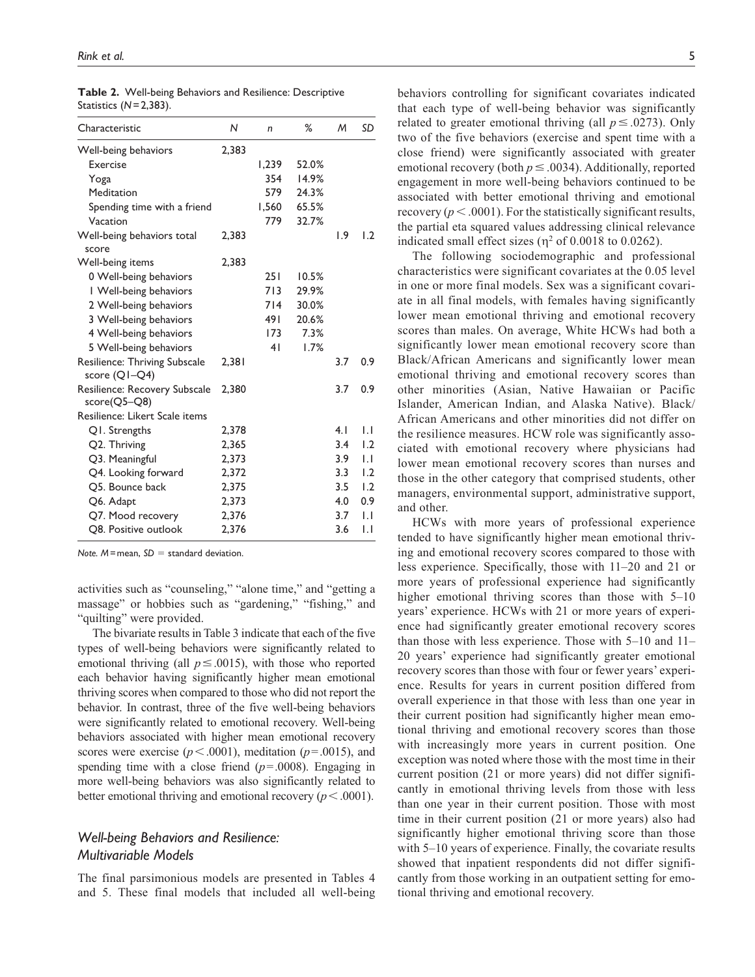| Characteristic                                 | N     | n     | ℅     | M   | <b>SD</b>        |
|------------------------------------------------|-------|-------|-------|-----|------------------|
| Well-being behaviors                           | 2.383 |       |       |     |                  |
| Exercise                                       |       | 1,239 | 52.0% |     |                  |
| Yoga                                           |       | 354   | 14.9% |     |                  |
| Meditation                                     |       | 579   | 24.3% |     |                  |
| Spending time with a friend                    |       | 1,560 | 65.5% |     |                  |
| Vacation                                       |       | 779   | 32.7% |     |                  |
| Well-being behaviors total<br>score            | 2,383 |       |       | 1.9 | $\overline{1.2}$ |
| Well-being items                               | 2,383 |       |       |     |                  |
| 0 Well-being behaviors                         |       | 251   | 10.5% |     |                  |
| I Well-being behaviors                         |       | 713   | 29.9% |     |                  |
| 2 Well-being behaviors                         |       | 714   | 30.0% |     |                  |
| 3 Well-being behaviors                         |       | 491   | 20.6% |     |                  |
| 4 Well-being behaviors                         |       | 173   | 7.3%  |     |                  |
| 5 Well-being behaviors                         |       | 41    | 1.7%  |     |                  |
| Resilience: Thriving Subscale<br>score (Q1-Q4) | 2,381 |       |       | 3.7 | 0.9              |
| Resilience: Recovery Subscale<br>score(Q5-Q8)  | 2,380 |       |       | 3.7 | 0.9              |
| Resilience: Likert Scale items                 |       |       |       |     |                  |
| Q1. Strengths                                  | 2,378 |       |       | 4.1 | IJ               |
| Q2. Thriving                                   | 2.365 |       |       | 3.4 | $\overline{1.2}$ |
| Q3. Meaningful                                 | 2,373 |       |       | 3.9 | IJ               |
| Q4. Looking forward                            | 2,372 |       |       | 3.3 | 1.2              |
| O5. Bounce back                                | 2,375 |       |       | 3.5 | 1.2              |
| Q6. Adapt                                      | 2.373 |       |       | 4.0 | 0.9              |
| Q7. Mood recovery                              | 2,376 |       |       | 3.7 | IJ               |
| O8. Positive outlook                           | 2,376 |       |       | 3.6 | IJ               |

|                          |  | Table 2. Well-being Behaviors and Resilience: Descriptive |
|--------------------------|--|-----------------------------------------------------------|
| Statistics $(N=2,383)$ . |  |                                                           |

*Note. M*=mean, *SD* = standard deviation.

activities such as "counseling," "alone time," and "getting a massage" or hobbies such as "gardening," "fishing," and "quilting" were provided.

The bivariate results in Table 3 indicate that each of the five types of well-being behaviors were significantly related to emotional thriving (all  $p \leq .0015$ ), with those who reported each behavior having significantly higher mean emotional thriving scores when compared to those who did not report the behavior. In contrast, three of the five well-being behaviors were significantly related to emotional recovery. Well-being behaviors associated with higher mean emotional recovery scores were exercise ( $p < .0001$ ), meditation ( $p = .0015$ ), and spending time with a close friend  $(p=.0008)$ . Engaging in more well-being behaviors was also significantly related to better emotional thriving and emotional recovery ( $p < .0001$ ).

## *Well-being Behaviors and Resilience: Multivariable Models*

The final parsimonious models are presented in Tables 4 and 5. These final models that included all well-being behaviors controlling for significant covariates indicated that each type of well-being behavior was significantly related to greater emotional thriving (all  $p \leq .0273$ ). Only two of the five behaviors (exercise and spent time with a close friend) were significantly associated with greater emotional recovery (both  $p \leq .0034$ ). Additionally, reported engagement in more well-being behaviors continued to be associated with better emotional thriving and emotional recovery ( $p < .0001$ ). For the statistically significant results, the partial eta squared values addressing clinical relevance indicated small effect sizes ( $\eta^2$  of 0.0018 to 0.0262).

The following sociodemographic and professional characteristics were significant covariates at the 0.05 level in one or more final models. Sex was a significant covariate in all final models, with females having significantly lower mean emotional thriving and emotional recovery scores than males. On average, White HCWs had both a significantly lower mean emotional recovery score than Black/African Americans and significantly lower mean emotional thriving and emotional recovery scores than other minorities (Asian, Native Hawaiian or Pacific Islander, American Indian, and Alaska Native). Black/ African Americans and other minorities did not differ on the resilience measures. HCW role was significantly associated with emotional recovery where physicians had lower mean emotional recovery scores than nurses and those in the other category that comprised students, other managers, environmental support, administrative support, and other.

HCWs with more years of professional experience tended to have significantly higher mean emotional thriving and emotional recovery scores compared to those with less experience. Specifically, those with 11–20 and 21 or more years of professional experience had significantly higher emotional thriving scores than those with 5–10 years' experience. HCWs with 21 or more years of experience had significantly greater emotional recovery scores than those with less experience. Those with 5–10 and 11– 20 years' experience had significantly greater emotional recovery scores than those with four or fewer years' experience. Results for years in current position differed from overall experience in that those with less than one year in their current position had significantly higher mean emotional thriving and emotional recovery scores than those with increasingly more years in current position. One exception was noted where those with the most time in their current position (21 or more years) did not differ significantly in emotional thriving levels from those with less than one year in their current position. Those with most time in their current position (21 or more years) also had significantly higher emotional thriving score than those with 5–10 years of experience. Finally, the covariate results showed that inpatient respondents did not differ significantly from those working in an outpatient setting for emotional thriving and emotional recovery.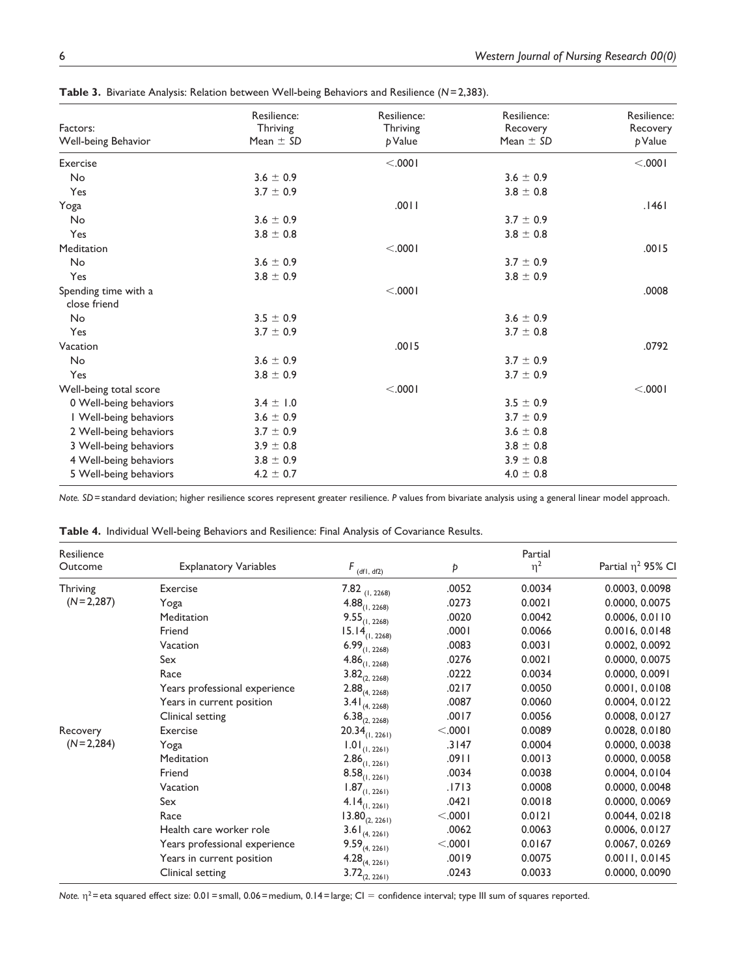| Factors:                             | Resilience:<br>Thriving | Resilience:<br>Thriving | Resilience:<br>Recovery | Resilience:<br>Recovery |
|--------------------------------------|-------------------------|-------------------------|-------------------------|-------------------------|
| Well-being Behavior                  | Mean $\pm$ SD           | p Value                 | Mean $\pm$ SD           | p Value                 |
| Exercise                             |                         | < .0001                 |                         | < .0001                 |
| No                                   | $3.6 \pm 0.9$           |                         | $3.6 \pm 0.9$           |                         |
| Yes                                  | $3.7 \pm 0.9$           |                         | $3.8 \pm 0.8$           |                         |
| Yoga                                 |                         | .0011                   |                         | .1461                   |
| No                                   | $3.6 \pm 0.9$           |                         | $3.7 \pm 0.9$           |                         |
| Yes                                  | $3.8 \pm 0.8$           |                         | $3.8 \pm 0.8$           |                         |
| Meditation                           |                         | < .0001                 |                         | .0015                   |
| No                                   | $3.6 \pm 0.9$           |                         | $3.7 \pm 0.9$           |                         |
| Yes                                  | $3.8 \pm 0.9$           |                         | $3.8 \pm 0.9$           |                         |
| Spending time with a<br>close friend |                         | < .0001                 |                         | .0008                   |
| No                                   | $3.5 \pm 0.9$           |                         | $3.6 \pm 0.9$           |                         |
| Yes                                  | $3.7 \pm 0.9$           |                         | $3.7 \pm 0.8$           |                         |
| Vacation                             |                         | .0015                   |                         | .0792                   |
| No                                   | $3.6 \pm 0.9$           |                         | $3.7 \pm 0.9$           |                         |
| Yes                                  | $3.8 \pm 0.9$           |                         | $3.7 \pm 0.9$           |                         |
| Well-being total score               |                         | < .0001                 |                         | < .0001                 |
| 0 Well-being behaviors               | $3.4 \pm 1.0$           |                         | $3.5 \pm 0.9$           |                         |
| I Well-being behaviors               | $3.6 \pm 0.9$           |                         | $3.7 \pm 0.9$           |                         |
| 2 Well-being behaviors               | $3.7 \pm 0.9$           |                         | $3.6 \pm 0.8$           |                         |
| 3 Well-being behaviors               | $3.9 \pm 0.8$           |                         | $3.8 \pm 0.8$           |                         |
| 4 Well-being behaviors               | $3.8 \pm 0.9$           |                         | $3.9 \pm 0.8$           |                         |
| 5 Well-being behaviors               | $4.2 \pm 0.7$           |                         | $4.0\,\pm\,0.8$         |                         |

**Table 3.** Bivariate Analysis: Relation between Well-being Behaviors and Resilience (*N*=2,383).

*Note. SD*=standard deviation; higher resilience scores represent greater resilience. *P* values from bivariate analysis using a general linear model approach.

**Table 4.** Individual Well-being Behaviors and Resilience: Final Analysis of Covariance Results.

| Resilience  |                               |                         |         | Partial  |                         |
|-------------|-------------------------------|-------------------------|---------|----------|-------------------------|
| Outcome     | <b>Explanatory Variables</b>  | $F_{\text{(df1, df2)}}$ | Þ       | $\eta^2$ | Partial $\eta^2$ 95% CI |
| Thriving    | Exercise                      | $7.82$ (1, 2268)        | .0052   | 0.0034   | 0.0003, 0.0098          |
| $(N=2,287)$ | Yoga                          | 4.88(1, 2268)           | .0273   | 0.0021   | 0.0000, 0.0075          |
|             | Meditation                    | $9.55_{(1, 2268)}$      | .0020   | 0.0042   | 0.0006, 0.0110          |
|             | Friend                        | $15.14_{(1, 2268)}$     | .0001   | 0.0066   | 0.0016, 0.0148          |
|             | Vacation                      | $6.99_{(1, 2268)}$      | .0083   | 0.0031   | 0.0002, 0.0092          |
|             | Sex                           | $4.86_{(1, 2268)}$      | .0276   | 0.0021   | 0.0000, 0.0075          |
|             | Race                          | $3.82_{(2, 2268)}$      | .0222   | 0.0034   | 0.0000, 0.0091          |
|             | Years professional experience | $2.88_{(4, 2268)}$      | .0217   | 0.0050   | 0.0001, 0.0108          |
|             | Years in current position     | $3.41_{(4, 2268)}$      | .0087   | 0.0060   | 0.0004, 0.0122          |
|             | Clinical setting              | $6.38_{(2, 2268)}$      | .0017   | 0.0056   | 0.0008, 0.0127          |
| Recovery    | Exercise                      | $20.34_{(1, 2261)}$     | < .0001 | 0.0089   | 0.0028, 0.0180          |
| $(N=2,284)$ | Yoga                          | $1.01_{(1, 2261)}$      | .3147   | 0.0004   | 0.0000, 0.0038          |
|             | Meditation                    | $2.86_{(1, 2261)}$      | .0911   | 0.0013   | 0.0000, 0.0058          |
|             | Friend                        | $8.58_{(1, 2261)}$      | .0034   | 0.0038   | 0.0004, 0.0104          |
|             | Vacation                      | $1.87_{(1, 2261)}$      | .1713   | 0.0008   | 0.0000, 0.0048          |
|             | Sex                           | $4.14_{(1, 2261)}$      | .0421   | 0.0018   | 0.0000, 0.0069          |
|             | Race                          | 13.80(2, 2261)          | < .0001 | 0.0121   | 0.0044, 0.0218          |
|             | Health care worker role       | $3.61_{(4, 2261)}$      | .0062   | 0.0063   | 0.0006, 0.0127          |
|             | Years professional experience | $9.59_{(4, 2261)}$      | < .0001 | 0.0167   | 0.0067, 0.0269          |
|             | Years in current position     | $4.28_{(4, 2261)}$      | .0019   | 0.0075   | 0.0011, 0.0145          |
|             | Clinical setting              | $3.72_{(2, 2261)}$      | .0243   | 0.0033   | 0.0000, 0.0090          |

*Note.*  $η^2$  = eta squared effect size: 0.01 = small, 0.06 = medium, 0.14 = large; CI = confidence interval; type III sum of squares reported.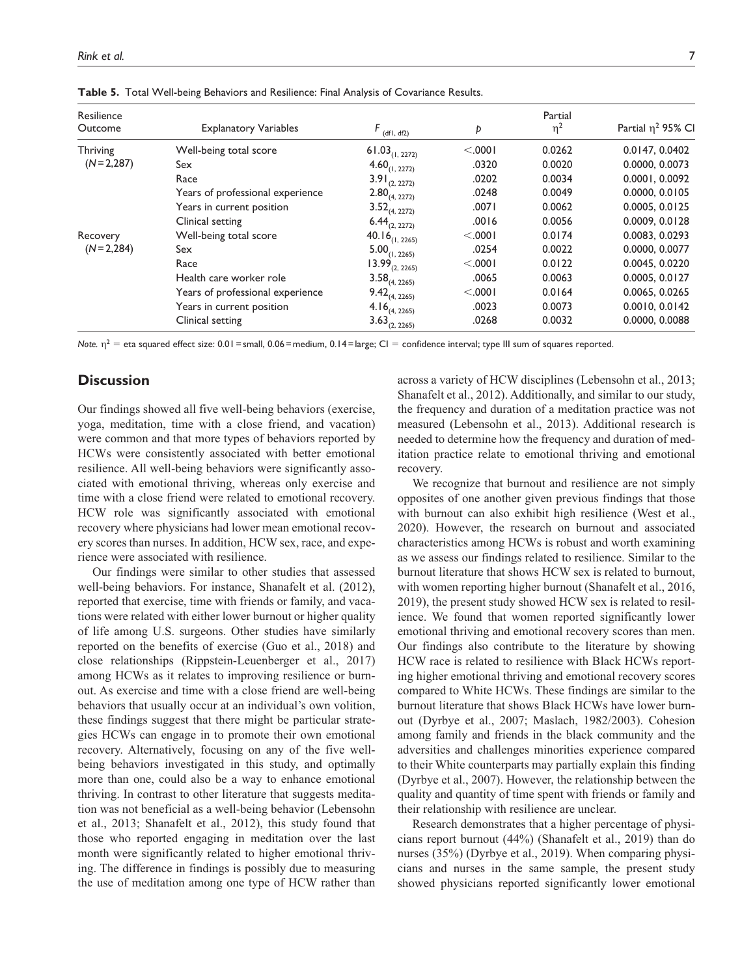| Resilience              |                                  |                            |         | Partial  | Partial $\eta^2$ 95% CI |
|-------------------------|----------------------------------|----------------------------|---------|----------|-------------------------|
| Outcome                 | <b>Explanatory Variables</b>     | $F_{\text{(df1, df2)}}$    | Þ       | $\eta^2$ |                         |
| Thriving<br>$(N=2,287)$ | Well-being total score           | $61.03_{(1, 2272)}$        | < .0001 | 0.0262   | 0.0147, 0.0402          |
|                         | Sex                              | $4.60_{(1, 2272)}$         | .0320   | 0.0020   | 0.0000, 0.0073          |
|                         | Race                             | $3.91_{(2, 2272)}$         | .0202   | 0.0034   | 0.0001, 0.0092          |
|                         | Years of professional experience | $2.80_{(4, 2272)}$         | .0248   | 0.0049   | 0.0000, 0.0105          |
|                         | Years in current position        | $3.52_{(4, 2272)}$         | .0071   | 0.0062   | 0.0005, 0.0125          |
|                         | Clinical setting                 | $6.44_{(2, 2272)}$         | .0016   | 0.0056   | 0.0009, 0.0128          |
| Recovery                | Well-being total score           | 40.16 <sub>(1, 2265)</sub> | < .0001 | 0.0174   | 0.0083, 0.0293          |
| $(N=2,284)$             | Sex                              | $5.00_{(1, 2265)}$         | .0254   | 0.0022   | 0.0000, 0.0077          |
|                         | Race                             | $13.99_{(2, 2265)}$        | < .0001 | 0.0122   | 0.0045, 0.0220          |
|                         | Health care worker role          | $3.58_{(4, 2265)}$         | .0065   | 0.0063   | 0.0005, 0.0127          |
|                         | Years of professional experience | $9.42_{(4, 2265)}$         | < .0001 | 0.0164   | 0.0065, 0.0265          |
|                         | Years in current position        | 4.16 <sub>(4, 2265)</sub>  | .0023   | 0.0073   | 0.0010, 0.0142          |
|                         | Clinical setting                 | $3.63_{(2, 2265)}$         | .0268   | 0.0032   | 0.0000, 0.0088          |

**Table 5.** Total Well-being Behaviors and Resilience: Final Analysis of Covariance Results.

*Note.*  $η^2$  = eta squared effect size: 0.01 = small, 0.06 = medium, 0.14 = large; CI = confidence interval; type III sum of squares reported.

## **Discussion**

Our findings showed all five well-being behaviors (exercise, yoga, meditation, time with a close friend, and vacation) were common and that more types of behaviors reported by HCWs were consistently associated with better emotional resilience. All well-being behaviors were significantly associated with emotional thriving, whereas only exercise and time with a close friend were related to emotional recovery. HCW role was significantly associated with emotional recovery where physicians had lower mean emotional recovery scores than nurses. In addition, HCW sex, race, and experience were associated with resilience.

Our findings were similar to other studies that assessed well-being behaviors. For instance, Shanafelt et al. (2012), reported that exercise, time with friends or family, and vacations were related with either lower burnout or higher quality of life among U.S. surgeons. Other studies have similarly reported on the benefits of exercise (Guo et al., 2018) and close relationships (Rippstein-Leuenberger et al., 2017) among HCWs as it relates to improving resilience or burnout. As exercise and time with a close friend are well-being behaviors that usually occur at an individual's own volition, these findings suggest that there might be particular strategies HCWs can engage in to promote their own emotional recovery. Alternatively, focusing on any of the five wellbeing behaviors investigated in this study, and optimally more than one, could also be a way to enhance emotional thriving. In contrast to other literature that suggests meditation was not beneficial as a well-being behavior (Lebensohn et al., 2013; Shanafelt et al., 2012), this study found that those who reported engaging in meditation over the last month were significantly related to higher emotional thriving. The difference in findings is possibly due to measuring the use of meditation among one type of HCW rather than

across a variety of HCW disciplines (Lebensohn et al., 2013; Shanafelt et al., 2012). Additionally, and similar to our study, the frequency and duration of a meditation practice was not measured (Lebensohn et al., 2013). Additional research is needed to determine how the frequency and duration of meditation practice relate to emotional thriving and emotional recovery.

We recognize that burnout and resilience are not simply opposites of one another given previous findings that those with burnout can also exhibit high resilience (West et al., 2020). However, the research on burnout and associated characteristics among HCWs is robust and worth examining as we assess our findings related to resilience. Similar to the burnout literature that shows HCW sex is related to burnout, with women reporting higher burnout (Shanafelt et al., 2016, 2019), the present study showed HCW sex is related to resilience. We found that women reported significantly lower emotional thriving and emotional recovery scores than men. Our findings also contribute to the literature by showing HCW race is related to resilience with Black HCWs reporting higher emotional thriving and emotional recovery scores compared to White HCWs. These findings are similar to the burnout literature that shows Black HCWs have lower burnout (Dyrbye et al., 2007; Maslach, 1982/2003). Cohesion among family and friends in the black community and the adversities and challenges minorities experience compared to their White counterparts may partially explain this finding (Dyrbye et al., 2007). However, the relationship between the quality and quantity of time spent with friends or family and their relationship with resilience are unclear.

Research demonstrates that a higher percentage of physicians report burnout (44%) (Shanafelt et al., 2019) than do nurses (35%) (Dyrbye et al., 2019). When comparing physicians and nurses in the same sample, the present study showed physicians reported significantly lower emotional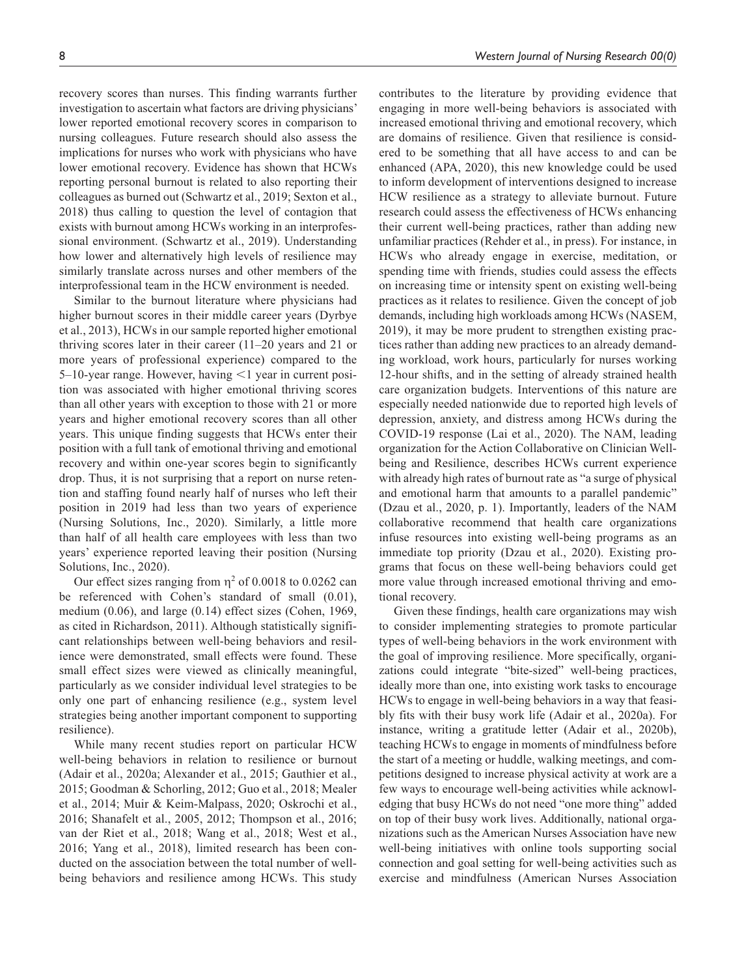recovery scores than nurses. This finding warrants further investigation to ascertain what factors are driving physicians' lower reported emotional recovery scores in comparison to nursing colleagues. Future research should also assess the implications for nurses who work with physicians who have lower emotional recovery. Evidence has shown that HCWs reporting personal burnout is related to also reporting their colleagues as burned out (Schwartz et al., 2019; Sexton et al., 2018) thus calling to question the level of contagion that exists with burnout among HCWs working in an interprofessional environment. (Schwartz et al., 2019). Understanding how lower and alternatively high levels of resilience may similarly translate across nurses and other members of the interprofessional team in the HCW environment is needed.

Similar to the burnout literature where physicians had higher burnout scores in their middle career years (Dyrbye et al., 2013), HCWs in our sample reported higher emotional thriving scores later in their career (11–20 years and 21 or more years of professional experience) compared to the 5–10-year range. However, having <1 year in current position was associated with higher emotional thriving scores than all other years with exception to those with 21 or more years and higher emotional recovery scores than all other years. This unique finding suggests that HCWs enter their position with a full tank of emotional thriving and emotional recovery and within one-year scores begin to significantly drop. Thus, it is not surprising that a report on nurse retention and staffing found nearly half of nurses who left their position in 2019 had less than two years of experience (Nursing Solutions, Inc., 2020). Similarly, a little more than half of all health care employees with less than two years' experience reported leaving their position (Nursing Solutions, Inc., 2020).

Our effect sizes ranging from  $\eta^2$  of 0.0018 to 0.0262 can be referenced with Cohen's standard of small (0.01), medium (0.06), and large (0.14) effect sizes (Cohen, 1969, as cited in Richardson, 2011). Although statistically significant relationships between well-being behaviors and resilience were demonstrated, small effects were found. These small effect sizes were viewed as clinically meaningful, particularly as we consider individual level strategies to be only one part of enhancing resilience (e.g., system level strategies being another important component to supporting resilience).

While many recent studies report on particular HCW well-being behaviors in relation to resilience or burnout (Adair et al., 2020a; Alexander et al., 2015; Gauthier et al., 2015; Goodman & Schorling, 2012; Guo et al., 2018; Mealer et al., 2014; Muir & Keim-Malpass, 2020; Oskrochi et al., 2016; Shanafelt et al., 2005, 2012; Thompson et al., 2016; van der Riet et al., 2018; Wang et al., 2018; West et al., 2016; Yang et al., 2018), limited research has been conducted on the association between the total number of wellbeing behaviors and resilience among HCWs. This study

contributes to the literature by providing evidence that engaging in more well-being behaviors is associated with increased emotional thriving and emotional recovery, which are domains of resilience. Given that resilience is considered to be something that all have access to and can be enhanced (APA, 2020), this new knowledge could be used to inform development of interventions designed to increase HCW resilience as a strategy to alleviate burnout. Future research could assess the effectiveness of HCWs enhancing their current well-being practices, rather than adding new unfamiliar practices (Rehder et al., in press). For instance, in HCWs who already engage in exercise, meditation, or spending time with friends, studies could assess the effects on increasing time or intensity spent on existing well-being practices as it relates to resilience. Given the concept of job demands, including high workloads among HCWs (NASEM, 2019), it may be more prudent to strengthen existing practices rather than adding new practices to an already demanding workload, work hours, particularly for nurses working 12-hour shifts, and in the setting of already strained health care organization budgets. Interventions of this nature are especially needed nationwide due to reported high levels of depression, anxiety, and distress among HCWs during the COVID-19 response (Lai et al., 2020). The NAM, leading organization for the Action Collaborative on Clinician Wellbeing and Resilience, describes HCWs current experience with already high rates of burnout rate as "a surge of physical and emotional harm that amounts to a parallel pandemic" (Dzau et al., 2020, p. 1). Importantly, leaders of the NAM collaborative recommend that health care organizations infuse resources into existing well-being programs as an immediate top priority (Dzau et al., 2020). Existing programs that focus on these well-being behaviors could get more value through increased emotional thriving and emotional recovery.

Given these findings, health care organizations may wish to consider implementing strategies to promote particular types of well-being behaviors in the work environment with the goal of improving resilience. More specifically, organizations could integrate "bite-sized" well-being practices, ideally more than one, into existing work tasks to encourage HCWs to engage in well-being behaviors in a way that feasibly fits with their busy work life (Adair et al., 2020a). For instance, writing a gratitude letter (Adair et al., 2020b), teaching HCWs to engage in moments of mindfulness before the start of a meeting or huddle, walking meetings, and competitions designed to increase physical activity at work are a few ways to encourage well-being activities while acknowledging that busy HCWs do not need "one more thing" added on top of their busy work lives. Additionally, national organizations such as the American Nurses Association have new well-being initiatives with online tools supporting social connection and goal setting for well-being activities such as exercise and mindfulness (American Nurses Association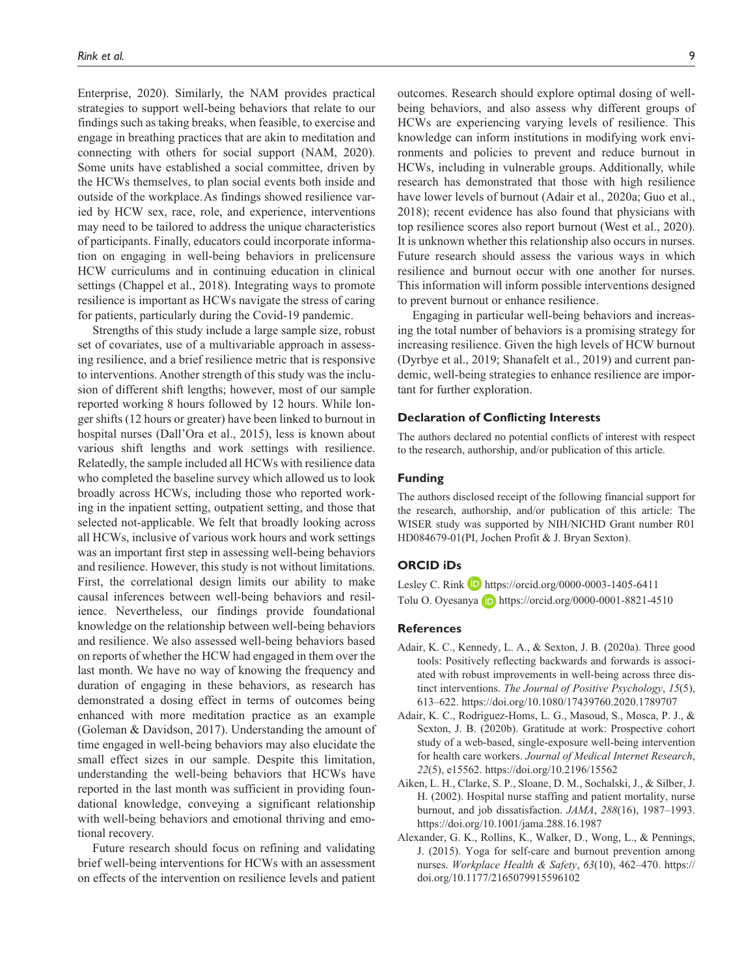Enterprise, 2020). Similarly, the NAM provides practical strategies to support well-being behaviors that relate to our findings such as taking breaks, when feasible, to exercise and engage in breathing practices that are akin to meditation and connecting with others for social support (NAM, 2020). Some units have established a social committee, driven by the HCWs themselves, to plan social events both inside and outside of the workplace.As findings showed resilience varied by HCW sex, race, role, and experience, interventions may need to be tailored to address the unique characteristics of participants. Finally, educators could incorporate information on engaging in well-being behaviors in prelicensure HCW curriculums and in continuing education in clinical settings (Chappel et al., 2018). Integrating ways to promote resilience is important as HCWs navigate the stress of caring for patients, particularly during the Covid-19 pandemic.

Strengths of this study include a large sample size, robust set of covariates, use of a multivariable approach in assessing resilience, and a brief resilience metric that is responsive to interventions. Another strength of this study was the inclusion of different shift lengths; however, most of our sample reported working 8 hours followed by 12 hours. While longer shifts (12 hours or greater) have been linked to burnout in hospital nurses (Dall'Ora et al., 2015), less is known about various shift lengths and work settings with resilience. Relatedly, the sample included all HCWs with resilience data who completed the baseline survey which allowed us to look broadly across HCWs, including those who reported working in the inpatient setting, outpatient setting, and those that selected not-applicable. We felt that broadly looking across all HCWs, inclusive of various work hours and work settings was an important first step in assessing well-being behaviors and resilience. However, this study is not without limitations. First, the correlational design limits our ability to make causal inferences between well-being behaviors and resilience. Nevertheless, our findings provide foundational knowledge on the relationship between well-being behaviors and resilience. We also assessed well-being behaviors based on reports of whether the HCW had engaged in them over the last month. We have no way of knowing the frequency and duration of engaging in these behaviors, as research has demonstrated a dosing effect in terms of outcomes being enhanced with more meditation practice as an example (Goleman & Davidson, 2017). Understanding the amount of time engaged in well-being behaviors may also elucidate the small effect sizes in our sample. Despite this limitation, understanding the well-being behaviors that HCWs have reported in the last month was sufficient in providing foundational knowledge, conveying a significant relationship with well-being behaviors and emotional thriving and emotional recovery.

Future research should focus on refining and validating brief well-being interventions for HCWs with an assessment on effects of the intervention on resilience levels and patient

outcomes. Research should explore optimal dosing of wellbeing behaviors, and also assess why different groups of HCWs are experiencing varying levels of resilience. This knowledge can inform institutions in modifying work environments and policies to prevent and reduce burnout in HCWs, including in vulnerable groups. Additionally, while research has demonstrated that those with high resilience have lower levels of burnout (Adair et al., 2020a; Guo et al., 2018); recent evidence has also found that physicians with top resilience scores also report burnout (West et al., 2020). It is unknown whether this relationship also occurs in nurses. Future research should assess the various ways in which resilience and burnout occur with one another for nurses. This information will inform possible interventions designed to prevent burnout or enhance resilience.

Engaging in particular well-being behaviors and increasing the total number of behaviors is a promising strategy for increasing resilience. Given the high levels of HCW burnout (Dyrbye et al., 2019; Shanafelt et al., 2019) and current pandemic, well-being strategies to enhance resilience are important for further exploration.

#### **Declaration of Conflicting Interests**

The authors declared no potential conflicts of interest with respect to the research, authorship, and/or publication of this article.

#### **Funding**

The authors disclosed receipt of the following financial support for the research, authorship, and/or publication of this article: The WISER study was supported by NIH/NICHD Grant number R01 HD084679-01(PI, Jochen Profit & J. Bryan Sexton).

#### **ORCID iDs**

Lesley C. Rink D <https://orcid.org/0000-0003-1405-6411> Tolu O. Oyesanya **iD** <https://orcid.org/0000-0001-8821-4510>

## **References**

- Adair, K. C., Kennedy, L. A., & Sexton, J. B. (2020a). Three good tools: Positively reflecting backwards and forwards is associated with robust improvements in well-being across three distinct interventions. *The Journal of Positive Psychology*, *15*(5), 613–622.<https://doi.org/10.1080/17439760.2020.1789707>
- Adair, K. C., Rodriguez-Homs, L. G., Masoud, S., Mosca, P. J., & Sexton, J. B. (2020b). Gratitude at work: Prospective cohort study of a web-based, single-exposure well-being intervention for health care workers. *Journal of Medical Internet Research*, *22*(5), e15562.<https://doi.org/10.2196/15562>
- Aiken, L. H., Clarke, S. P., Sloane, D. M., Sochalski, J., & Silber, J. H. (2002). Hospital nurse staffing and patient mortality, nurse burnout, and job dissatisfaction. *JAMA*, *288*(16), 1987–1993. <https://doi.org/10.1001/jama.288.16.1987>
- Alexander, G. K., Rollins, K., Walker, D., Wong, L., & Pennings, J. (2015). Yoga for self-care and burnout prevention among nurses. *Workplace Health & Safety*, *63*(10), 462–470. [https://](https://doi.org/10.1177/2165079915596102) [doi.org/10.1177/2165079915596102](https://doi.org/10.1177/2165079915596102)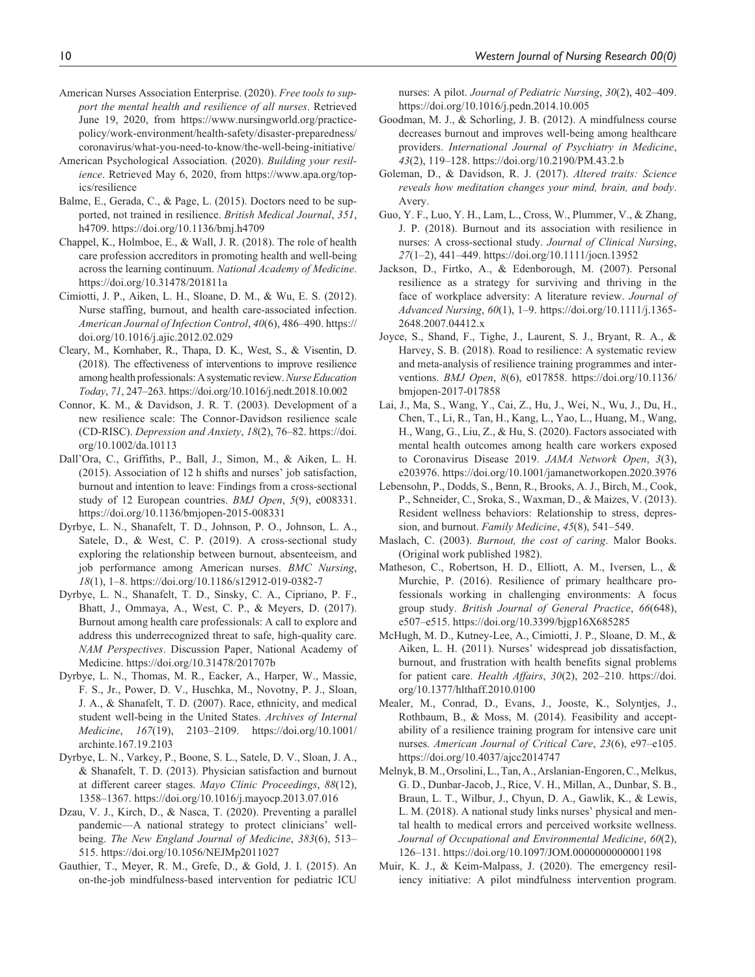- American Nurses Association Enterprise. (2020). *Free tools to support the mental health and resilience of all nurses*. Retrieved June 19, 2020, from [https://www.nursingworld.org/practice](https://www.nursingworld.org/practice-policy/work-environment/health-safety/disaster-preparedness/coronavirus/what-you-need-to-know/the-well-being-initiative/)[policy/work-environment/health-safety/disaster-preparedness/](https://www.nursingworld.org/practice-policy/work-environment/health-safety/disaster-preparedness/coronavirus/what-you-need-to-know/the-well-being-initiative/) [coronavirus/what-you-need-to-know/the-well-being-initiative/](https://www.nursingworld.org/practice-policy/work-environment/health-safety/disaster-preparedness/coronavirus/what-you-need-to-know/the-well-being-initiative/)
- American Psychological Association. (2020). *Building your resilience*. Retrieved May 6, 2020, from [https://www.apa.org/top](https://www.apa.org/topics/resilience)[ics/resilience](https://www.apa.org/topics/resilience)
- Balme, E., Gerada, C., & Page, L. (2015). Doctors need to be supported, not trained in resilience. *British Medical Journal*, *351*, h4709.<https://doi.org/10.1136/bmj.h4709>
- Chappel, K., Holmboe, E., & Wall, J. R. (2018). The role of health care profession accreditors in promoting health and well-being across the learning continuum. *National Academy of Medicine*. <https://doi.org/10.31478/201811a>
- Cimiotti, J. P., Aiken, L. H., Sloane, D. M., & Wu, E. S. (2012). Nurse staffing, burnout, and health care-associated infection. *American Journal of Infection Control*, *40*(6), 486–490. [https://](https://doi.org/10.1016/j.ajic.2012.02.029) [doi.org/10.1016/j.ajic.2012.02.029](https://doi.org/10.1016/j.ajic.2012.02.029)
- Cleary, M., Kornhaber, R., Thapa, D. K., West, S., & Visentin, D. (2018). The effectiveness of interventions to improve resilience among health professionals: A systematic review. *Nurse Education Today*, *71*, 247–263.<https://doi.org/10.1016/j.nedt.2018.10.002>
- Connor, K. M., & Davidson, J. R. T. (2003). Development of a new resilience scale: The Connor-Davidson resilience scale (CD-RISC). *Depression and Anxiety*, *18*(2), 76–82. [https://doi.](https://doi.org/10.1002/da.10113) [org/10.1002/da.10113](https://doi.org/10.1002/da.10113)
- Dall'Ora, C., Griffiths, P., Ball, J., Simon, M., & Aiken, L. H. (2015). Association of 12 h shifts and nurses' job satisfaction, burnout and intention to leave: Findings from a cross-sectional study of 12 European countries. *BMJ Open*, *5*(9), e008331. <https://doi.org/10.1136/bmjopen-2015-008331>
- Dyrbye, L. N., Shanafelt, T. D., Johnson, P. O., Johnson, L. A., Satele, D., & West, C. P. (2019). A cross-sectional study exploring the relationship between burnout, absenteeism, and job performance among American nurses. *BMC Nursing*, *18*(1), 1–8. <https://doi.org/10.1186/s12912-019-0382-7>
- Dyrbye, L. N., Shanafelt, T. D., Sinsky, C. A., Cipriano, P. F., Bhatt, J., Ommaya, A., West, C. P., & Meyers, D. (2017). Burnout among health care professionals: A call to explore and address this underrecognized threat to safe, high-quality care. *NAM Perspectives*. Discussion Paper, National Academy of Medicine.<https://doi.org/10.31478/201707b>
- Dyrbye, L. N., Thomas, M. R., Eacker, A., Harper, W., Massie, F. S., Jr., Power, D. V., Huschka, M., Novotny, P. J., Sloan, J. A., & Shanafelt, T. D. (2007). Race, ethnicity, and medical student well-being in the United States. *Archives of Internal Medicine*, *167*(19), 2103–2109. [https://doi.org/10.1001/](https://doi.org/10.1001/archinte.167.19.2103) [archinte.167.19.2103](https://doi.org/10.1001/archinte.167.19.2103)
- Dyrbye, L. N., Varkey, P., Boone, S. L., Satele, D. V., Sloan, J. A., & Shanafelt, T. D. (2013). Physician satisfaction and burnout at different career stages. *Mayo Clinic Proceedings*, *88*(12), 1358–1367.<https://doi.org/10.1016/j.mayocp.2013.07.016>
- Dzau, V. J., Kirch, D., & Nasca, T. (2020). Preventing a parallel pandemic—A national strategy to protect clinicians' wellbeing. *The New England Journal of Medicine*, *383*(6), 513– 515.<https://doi.org/10.1056/NEJMp2011027>
- Gauthier, T., Meyer, R. M., Grefe, D., & Gold, J. I. (2015). An on-the-job mindfulness-based intervention for pediatric ICU

nurses: A pilot. *Journal of Pediatric Nursing*, *30*(2), 402–409. <https://doi.org/10.1016/j.pedn.2014.10.005>

- Goodman, M. J., & Schorling, J. B. (2012). A mindfulness course decreases burnout and improves well-being among healthcare providers. *International Journal of Psychiatry in Medicine*, *43*(2), 119–128.<https://doi.org/10.2190/PM.43.2.b>
- Goleman, D., & Davidson, R. J. (2017). *Altered traits: Science reveals how meditation changes your mind, brain, and body*. Avery.
- Guo, Y. F., Luo, Y. H., Lam, L., Cross, W., Plummer, V., & Zhang, J. P. (2018). Burnout and its association with resilience in nurses: A cross-sectional study. *Journal of Clinical Nursing*, *27*(1–2), 441–449.<https://doi.org/10.1111/jocn.13952>
- Jackson, D., Firtko, A., & Edenborough, M. (2007). Personal resilience as a strategy for surviving and thriving in the face of workplace adversity: A literature review. *Journal of Advanced Nursing*, *60*(1), 1–9. [https://doi.org/10.1111/j.1365-](https://doi.org/10.1111/j.1365-2648.2007.04412.x) [2648.2007.04412.x](https://doi.org/10.1111/j.1365-2648.2007.04412.x)
- Joyce, S., Shand, F., Tighe, J., Laurent, S. J., Bryant, R. A., & Harvey, S. B. (2018). Road to resilience: A systematic review and meta-analysis of resilience training programmes and interventions. *BMJ Open*, *8*(6), e017858. [https://doi.org/10.1136/](https://doi.org/10.1136/bmjopen-2017-017858) [bmjopen-2017-017858](https://doi.org/10.1136/bmjopen-2017-017858)
- Lai, J., Ma, S., Wang, Y., Cai, Z., Hu, J., Wei, N., Wu, J., Du, H., Chen, T., Li, R., Tan, H., Kang, L., Yao, L., Huang, M., Wang, H., Wang, G., Liu, Z., & Hu, S. (2020). Factors associated with mental health outcomes among health care workers exposed to Coronavirus Disease 2019. *JAMA Network Open*, *3*(3), e203976. <https://doi.org/10.1001/jamanetworkopen.2020.3976>
- Lebensohn, P., Dodds, S., Benn, R., Brooks, A. J., Birch, M., Cook, P., Schneider, C., Sroka, S., Waxman, D., & Maizes, V. (2013). Resident wellness behaviors: Relationship to stress, depression, and burnout. *Family Medicine*, *45*(8), 541–549.
- Maslach, C. (2003). *Burnout, the cost of caring*. Malor Books. (Original work published 1982).
- Matheson, C., Robertson, H. D., Elliott, A. M., Iversen, L., & Murchie, P. (2016). Resilience of primary healthcare professionals working in challenging environments: A focus group study. *British Journal of General Practice*, *66*(648), e507–e515.<https://doi.org/10.3399/bjgp16X685285>
- McHugh, M. D., Kutney-Lee, A., Cimiotti, J. P., Sloane, D. M., & Aiken, L. H. (2011). Nurses' widespread job dissatisfaction, burnout, and frustration with health benefits signal problems for patient care. *Health Affairs*, *30*(2), 202–210. [https://doi.](https://doi.org/10.1377/hlthaff.2010.0100) [org/10.1377/hlthaff.2010.0100](https://doi.org/10.1377/hlthaff.2010.0100)
- Mealer, M., Conrad, D., Evans, J., Jooste, K., Solyntjes, J., Rothbaum, B., & Moss, M. (2014). Feasibility and acceptability of a resilience training program for intensive care unit nurses. *American Journal of Critical Care*, *23*(6), e97–e105. <https://doi.org/10.4037/ajcc2014747>
- Melnyk, B. M., Orsolini, L., Tan, A., Arslanian-Engoren, C., Melkus, G. D., Dunbar-Jacob, J., Rice, V. H., Millan, A., Dunbar, S. B., Braun, L. T., Wilbur, J., Chyun, D. A., Gawlik, K., & Lewis, L. M. (2018). A national study links nurses' physical and mental health to medical errors and perceived worksite wellness. *Journal of Occupational and Environmental Medicine*, *60*(2), 126–131. <https://doi.org/10.1097/JOM.0000000000001198>
- Muir, K. J., & Keim-Malpass, J. (2020). The emergency resiliency initiative: A pilot mindfulness intervention program.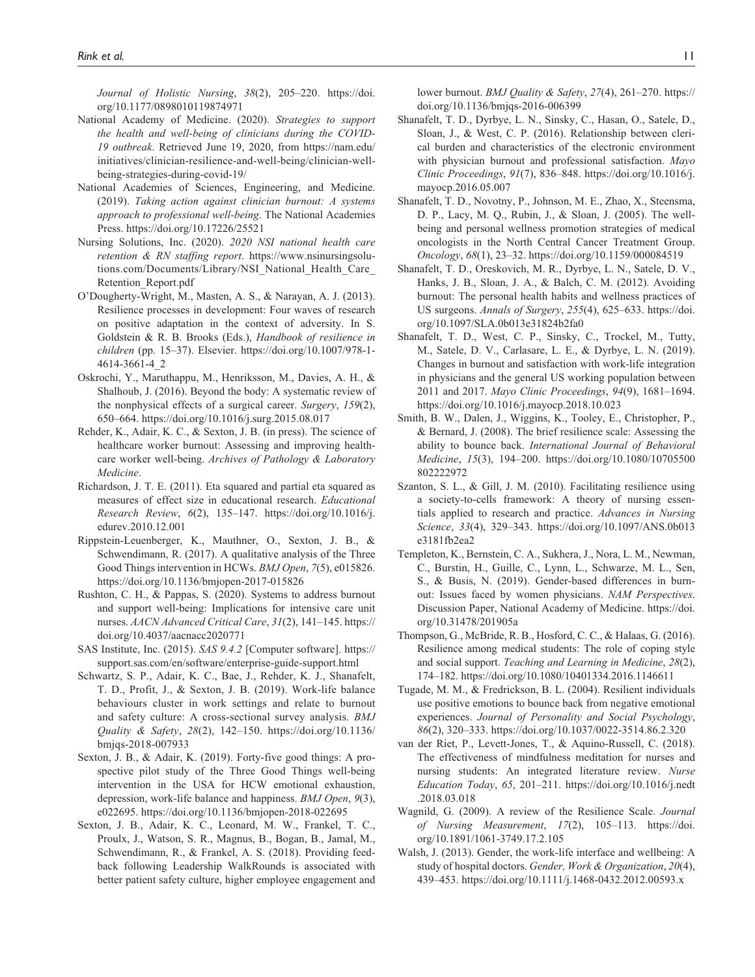*Journal of Holistic Nursing*, *38*(2), 205–220. [https://doi.](https://doi.org/10.1177/0898010119874971) [org/10.1177/0898010119874971](https://doi.org/10.1177/0898010119874971)

- National Academy of Medicine. (2020). *Strategies to support the health and well-being of clinicians during the COVID-19 outbreak*. Retrieved June 19, 2020, from [https://nam.edu/](https://nam.edu/initiatives/clinician-resilience-and-well-being/clinician-well-being-strategies-during-covid-19/) [initiatives/clinician-resilience-and-well-being/clinician-well](https://nam.edu/initiatives/clinician-resilience-and-well-being/clinician-well-being-strategies-during-covid-19/)[being-strategies-during-covid-19/](https://nam.edu/initiatives/clinician-resilience-and-well-being/clinician-well-being-strategies-during-covid-19/)
- National Academies of Sciences, Engineering, and Medicine. (2019). *Taking action against clinician burnout: A systems approach to professional well-being*. The National Academies Press.<https://doi.org/10.17226/25521>
- Nursing Solutions, Inc. (2020). *2020 NSI national health care retention & RN staffing report*. [https://www.nsinursingsolu](https://www.nsinursingsolutions.com/Documents/Library/NSI_National_Health_Care_Retention_Report.pdf)[tions.com/Documents/Library/NSI\\_National\\_Health\\_Care\\_](https://www.nsinursingsolutions.com/Documents/Library/NSI_National_Health_Care_Retention_Report.pdf) [Retention\\_Report.pdf](https://www.nsinursingsolutions.com/Documents/Library/NSI_National_Health_Care_Retention_Report.pdf)
- O'Dougherty-Wright, M., Masten, A. S., & Narayan, A. J. (2013). Resilience processes in development: Four waves of research on positive adaptation in the context of adversity. In S. Goldstein & R. B. Brooks (Eds.), *Handbook of resilience in children* (pp. 15–37). Elsevier. [https://doi.org/10.1007/978-1-](https://doi.org/10.1007/978-1-4614-3661-4_2) [4614-3661-4\\_2](https://doi.org/10.1007/978-1-4614-3661-4_2)
- Oskrochi, Y., Maruthappu, M., Henriksson, M., Davies, A. H., & Shalhoub, J. (2016). Beyond the body: A systematic review of the nonphysical effects of a surgical career. *Surgery*, *159*(2), 650–664. <https://doi.org/10.1016/j.surg.2015.08.017>
- Rehder, K., Adair, K. C., & Sexton, J. B. (in press). The science of healthcare worker burnout: Assessing and improving healthcare worker well-being. *Archives of Pathology & Laboratory Medicine*.
- Richardson, J. T. E. (2011). Eta squared and partial eta squared as measures of effect size in educational research. *Educational Research Review*, *6*(2), 135–147. [https://doi.org/10.1016/j.](https://doi.org/10.1016/j.edurev.2010.12.001) [edurev.2010.12.001](https://doi.org/10.1016/j.edurev.2010.12.001)
- Rippstein-Leuenberger, K., Mauthner, O., Sexton, J. B., & Schwendimann, R. (2017). A qualitative analysis of the Three Good Things intervention in HCWs. *BMJ Open*, *7*(5), e015826. <https://doi.org/10.1136/bmjopen-2017-015826>
- Rushton, C. H., & Pappas, S. (2020). Systems to address burnout and support well-being: Implications for intensive care unit nurses. *AACN Advanced Critical Care*, *31*(2), 141–145. [https://](https://doi.org/10.4037/aacnacc2020771) [doi.org/10.4037/aacnacc2020771](https://doi.org/10.4037/aacnacc2020771)
- SAS Institute, Inc. (2015). *SAS 9.4.2* [Computer software]. [https://](https://support.sas.com/en/software/enterprise-guide-support.html) [support.sas.com/en/software/enterprise-guide-support.html](https://support.sas.com/en/software/enterprise-guide-support.html)
- Schwartz, S. P., Adair, K. C., Bae, J., Rehder, K. J., Shanafelt, T. D., Profit, J., & Sexton, J. B. (2019). Work-life balance behaviours cluster in work settings and relate to burnout and safety culture: A cross-sectional survey analysis. *BMJ Quality & Safety*, *28*(2), 142–150. [https://doi.org/10.1136/](https://doi.org/10.1136/bmjqs-2018-007933) [bmjqs-2018-007933](https://doi.org/10.1136/bmjqs-2018-007933)
- Sexton, J. B., & Adair, K. (2019). Forty-five good things: A prospective pilot study of the Three Good Things well-being intervention in the USA for HCW emotional exhaustion, depression, work-life balance and happiness. *BMJ Open*, *9*(3), e022695.<https://doi.org/10.1136/bmjopen-2018-022695>
- Sexton, J. B., Adair, K. C., Leonard, M. W., Frankel, T. C., Proulx, J., Watson, S. R., Magnus, B., Bogan, B., Jamal, M., Schwendimann, R., & Frankel, A. S. (2018). Providing feedback following Leadership WalkRounds is associated with better patient safety culture, higher employee engagement and

lower burnout. *BMJ Quality & Safety*, *27*(4), 261–270. [https://](https://doi.org/10.1136/bmjqs-2016-006399) [doi.org/10.1136/bmjqs-2016-006399](https://doi.org/10.1136/bmjqs-2016-006399)

- Shanafelt, T. D., Dyrbye, L. N., Sinsky, C., Hasan, O., Satele, D., Sloan, J., & West, C. P. (2016). Relationship between clerical burden and characteristics of the electronic environment with physician burnout and professional satisfaction. *Mayo Clinic Proceedings*, *91*(7), 836–848. [https://doi.org/10.1016/j.](https://doi.org/10.1016/j.mayocp.2016.05.007) [mayocp.2016.05.007](https://doi.org/10.1016/j.mayocp.2016.05.007)
- Shanafelt, T. D., Novotny, P., Johnson, M. E., Zhao, X., Steensma, D. P., Lacy, M. Q., Rubin, J., & Sloan, J. (2005). The wellbeing and personal wellness promotion strategies of medical oncologists in the North Central Cancer Treatment Group. *Oncology*, *68*(1), 23–32. <https://doi.org/10.1159/000084519>
- Shanafelt, T. D., Oreskovich, M. R., Dyrbye, L. N., Satele, D. V., Hanks, J. B., Sloan, J. A., & Balch, C. M. (2012). Avoiding burnout: The personal health habits and wellness practices of US surgeons. *Annals of Surgery*, *255*(4), 625–633. [https://doi.](https://doi.org/10.1097/SLA.0b013e31824b2fa0) [org/10.1097/SLA.0b013e31824b2fa0](https://doi.org/10.1097/SLA.0b013e31824b2fa0)
- Shanafelt, T. D., West, C. P., Sinsky, C., Trockel, M., Tutty, M., Satele, D. V., Carlasare, L. E., & Dyrbye, L. N. (2019). Changes in burnout and satisfaction with work-life integration in physicians and the general US working population between 2011 and 2017. *Mayo Clinic Proceedings*, *94*(9), 1681–1694. <https://doi.org/10.1016/j.mayocp.2018.10.023>
- Smith, B. W., Dalen, J., Wiggins, K., Tooley, E., Christopher, P., & Bernard, J. (2008). The brief resilience scale: Assessing the ability to bounce back. *International Journal of Behavioral Medicine*, *15*(3), 194–200. [https://doi.org/10.1080/10705500](https://doi.org/10.1080/10705500802222972) [802222972](https://doi.org/10.1080/10705500802222972)
- Szanton, S. L., & Gill, J. M. (2010). Facilitating resilience using a society-to-cells framework: A theory of nursing essentials applied to research and practice. *Advances in Nursing Science*, *33*(4), 329–343. [https://doi.org/10.1097/ANS.0b013](https://doi.org/10.1097/ANS.0b013e3181fb2ea2) [e3181fb2ea2](https://doi.org/10.1097/ANS.0b013e3181fb2ea2)
- Templeton, K., Bernstein, C. A., Sukhera, J., Nora, L. M., Newman, C., Burstin, H., Guille, C., Lynn, L., Schwarze, M. L., Sen, S., & Busis, N. (2019). Gender-based differences in burnout: Issues faced by women physicians. *NAM Perspectives*. Discussion Paper, National Academy of Medicine. [https://doi.](https://doi.org/10.31478/201905a) [org/10.31478/201905a](https://doi.org/10.31478/201905a)
- Thompson, G., McBride, R. B., Hosford, C. C., & Halaas, G. (2016). Resilience among medical students: The role of coping style and social support. *Teaching and Learning in Medicine*, *28*(2), 174–182.<https://doi.org/10.1080/10401334.2016.1146611>
- Tugade, M. M., & Fredrickson, B. L. (2004). Resilient individuals use positive emotions to bounce back from negative emotional experiences. *Journal of Personality and Social Psychology*, *86*(2), 320–333.<https://doi.org/10.1037/0022-3514.86.2.320>
- van der Riet, P., Levett-Jones, T., & Aquino-Russell, C. (2018). The effectiveness of mindfulness meditation for nurses and nursing students: An integrated literature review. *Nurse Education Today*, *65*, 201–211. [https://doi.org/10.1016/j.nedt](https://doi.org/10.1016/j.nedt.2018.03.018) [.2018.03.018](https://doi.org/10.1016/j.nedt.2018.03.018)
- Wagnild, G. (2009). A review of the Resilience Scale. *Journal of Nursing Measurement*, *17*(2), 105–113. [https://doi.](https://doi.org/10.1891/1061-3749.17.2.105) [org/10.1891/1061-3749.17.2.105](https://doi.org/10.1891/1061-3749.17.2.105)
- Walsh, J. (2013). Gender, the work-life interface and wellbeing: A study of hospital doctors. *Gender, Work & Organization*, *20*(4), 439–453.<https://doi.org/10.1111/j.1468-0432.2012.00593.x>